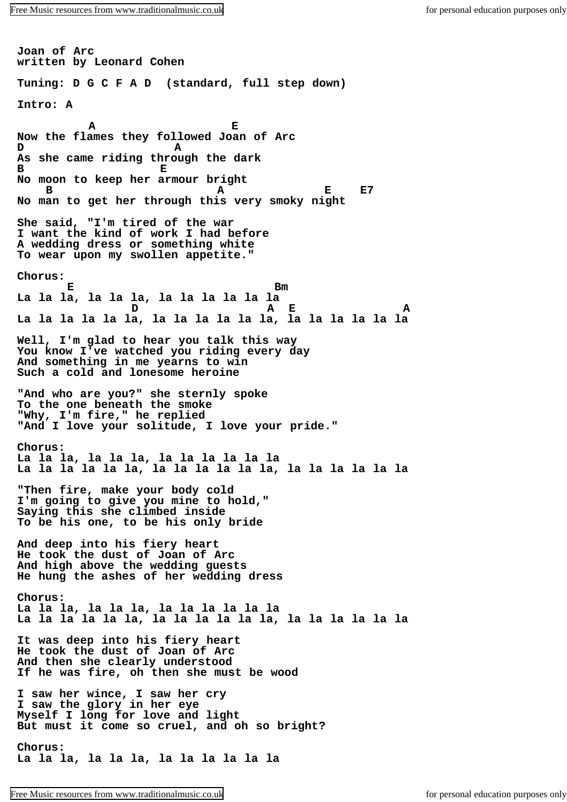**Joan of Arc written by Leonard Cohen Tuning: D G C F A D (standard, full step down) Intro: A A E Now the flames they followed Joan of Arc D A As she came riding through the dark B E No moon to keep her armour bright B** B **A** E E7 **No man to get her through this very smoky night She said, "I'm tired of the war I want the kind of work I had before A wedding dress or something white To wear upon my swollen appetite." Chorus: E Bm La la la, la la la, la la la la la la D A E A La la la la la la, la la la la la la, la la la la la la Well, I'm glad to hear you talk this way You know I've watched you riding every day And something in me yearns to win Such a cold and lonesome heroine "And who are you?" she sternly spoke To the one beneath the smoke "Why, I'm fire," he replied "And I love your solitude, I love your pride." Chorus: La la la, la la la, la la la la la la La la la la la la, la la la la la la, la la la la la la "Then fire, make your body cold I'm going to give you mine to hold," Saying this she climbed inside To be his one, to be his only bride And deep into his fiery heart He took the dust of Joan of Arc And high above the wedding guests He hung the ashes of her wedding dress Chorus: La la la, la la la, la la la la la la La la la la la la, la la la la la la, la la la la la la It was deep into his fiery heart He took the dust of Joan of Arc And then she clearly understood If he was fire, oh then she must be wood I saw her wince, I saw her cry I saw the glory in her eye Myself I long for love and light But must it come so cruel, and oh so bright? Chorus:**

**La la la, la la la, la la la la la la**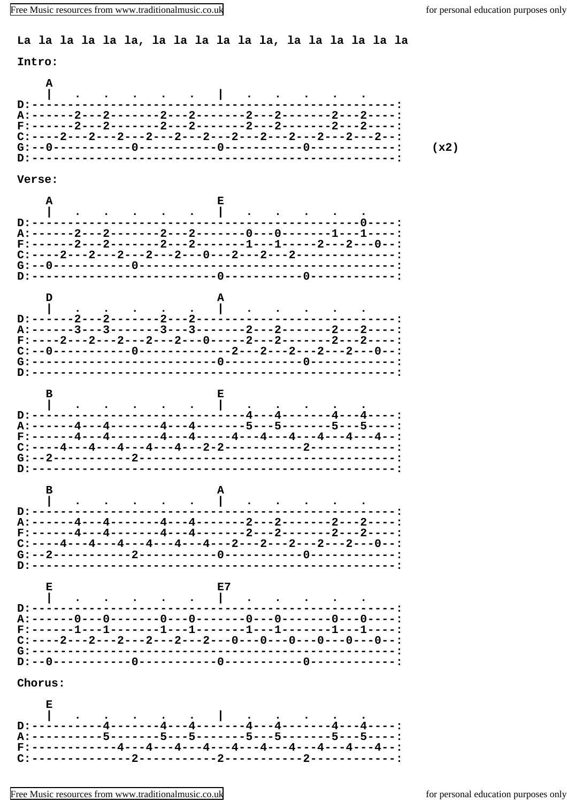## La la la la la la, la la la la la la, la la la la la la

Intro:

 $\mathbf{A}$  $\mathbf{I}$  $D:$ ---2---2-------2---2-------2---2-- $--2---2$ A:  $(x2)$ -------. \_ \_ \_ \_ \_ \_ \_ \_ \_ \_ \_ \_  $D: ---$ Verse:  $\mathbf{A}$ F.  $\mathsf{I}$  $\mathsf{l}$  $D: -2$ -------2---2-------0---0-------1---1----:  $A: --- --- 2--$ F:------2---2-------2---2-------1---1-----2---2---0--: D A  $D: 2 -3--3-------2---2-----2---2---2---:$  $A:$  ------3---3----------------0-----------0------------- $G:$  ------------ $D:$  ----------. \_ \_ \_ \_ \_ \_ \_ \_ \_ \_ \_ \_  $---:$  $\mathbf B$ R  $\mathbf{I}$  $D: --$ -4-------5---5- $-----5--5--$ - 4 A: ---- $-4$  $-$  :  $F: --- --- 4$ --4 --4-----4---4---4---4---4---4---4 ------------------ $G: -2 - - - - - - - - - -$ -2------- $--:$  $D:$  --------B Α D: -----4---4--------2---2-------2---2----4---4--A: ---- $-$ :  $C: --- 4 --- 4 --- 4 --- 4 --- 4 --- 4 --- 4 --- 2 --- 2 --- 2 --- 2 --- 2 --- 2 --- 2 --- 0 --- 3$  $D:$  ----------------------------------- $- - - \mathbf E$  $E.7$  $\mathbf{L}$  $D: -- C: \texttt{---2---2---2---2---2---2---0---0---0---0---0---0---0---0---0---1$ Chorus:  $\mathbf{E}% _{0}$  $D:$  -4 -4